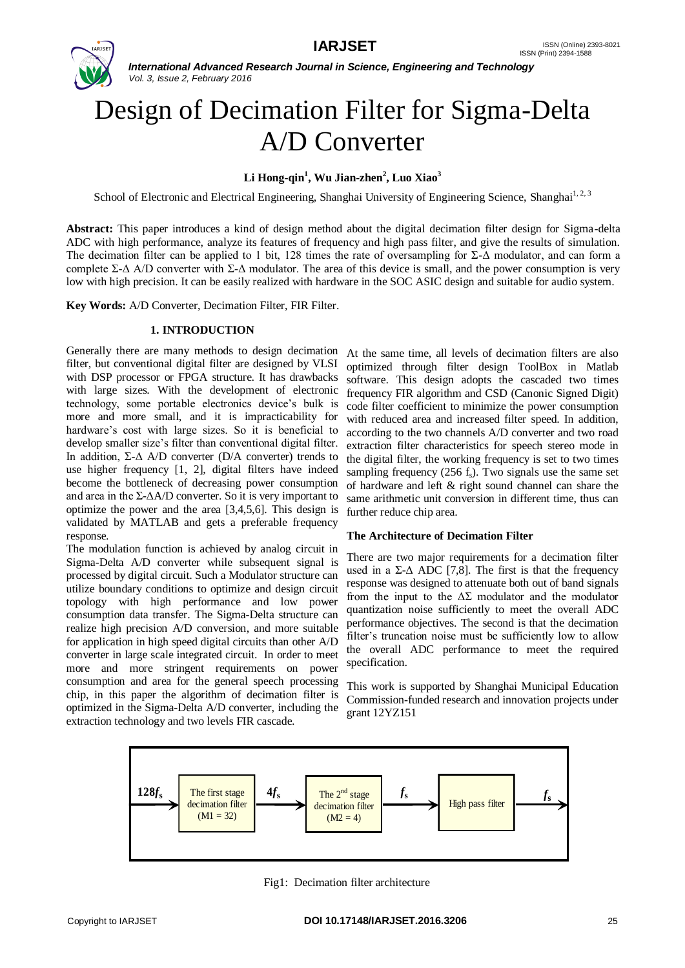

# Design of Decimation Filter for Sigma-Delta A/D Converter

# **Li Hong-qin<sup>1</sup> , Wu Jian-zhen<sup>2</sup> , Luo Xiao<sup>3</sup>**

School of Electronic and Electrical Engineering, Shanghai University of Engineering Science, Shanghai<sup>1, 2, 3</sup>

**Abstract:** This paper introduces a kind of design method about the digital decimation filter design for Sigma-delta ADC with high performance, analyze its features of frequency and high pass filter, and give the results of simulation. The decimation filter can be applied to 1 bit, 128 times the rate of oversampling for  $\Sigma$ - $\Delta$  modulator, and can form a complete Σ-Δ A/D converter with Σ-Δ modulator. The area of this device is small, and the power consumption is very low with high precision. It can be easily realized with hardware in the SOC ASIC design and suitable for audio system.

**Key Words:** A/D Converter, Decimation Filter, FIR Filter.

### **1. INTRODUCTION**

Generally there are many methods to design decimation filter, but conventional digital filter are designed by VLSI with DSP processor or FPGA structure. It has drawbacks with large sizes. With the development of electronic technology, some portable electronics device's bulk is more and more small, and it is impracticability for hardware's cost with large sizes. So it is beneficial to develop smaller size's filter than conventional digital filter. In addition,  $\Sigma$ - $\Delta$  A/D converter (D/A converter) trends to use higher frequency [1, 2], digital filters have indeed become the bottleneck of decreasing power consumption and area in the  $\Sigma$ - $\Delta$ A/D converter. So it is very important to optimize the power and the area [3,4,5,6]. This design is validated by MATLAB and gets a preferable frequency response.

The modulation function is achieved by analog circuit in Sigma-Delta A/D converter while subsequent signal is processed by digital circuit. Such a Modulator structure can utilize boundary conditions to optimize and design circuit topology with high performance and low power consumption data transfer. The Sigma-Delta structure can realize high precision A/D conversion, and more suitable for application in high speed digital circuits than other A/D converter in large scale integrated circuit. In order to meet more and more stringent requirements on power consumption and area for the general speech processing chip, in this paper the algorithm of decimation filter is optimized in the Sigma-Delta A/D converter, including the extraction technology and two levels FIR cascade.

At the same time, all levels of decimation filters are also optimized through filter design ToolBox in Matlab software. This design adopts the cascaded two times frequency FIR algorithm and CSD (Canonic Signed Digit) code filter coefficient to minimize the power consumption with reduced area and increased filter speed. In addition, according to the two channels A/D converter and two road extraction filter characteristics for speech stereo mode in the digital filter, the working frequency is set to two times sampling frequency (256 fs). Two signals use the same set of hardware and left & right sound channel can share the same arithmetic unit conversion in different time, thus can further reduce chip area.

### **The Architecture of Decimation Filter**

There are two major requirements for a decimation filter used in a  $\Sigma$ - $\Delta$  ADC [7,8]. The first is that the frequency response was designed to attenuate both out of band signals from the input to the  $\Delta\Sigma$  modulator and the modulator quantization noise sufficiently to meet the overall ADC performance objectives. The second is that the decimation filter's truncation noise must be sufficiently low to allow the overall ADC performance to meet the required specification.

This work is supported by Shanghai Municipal Education Commission-funded research and innovation projects under grant 12YZ151



Fig1: Decimation filter architecture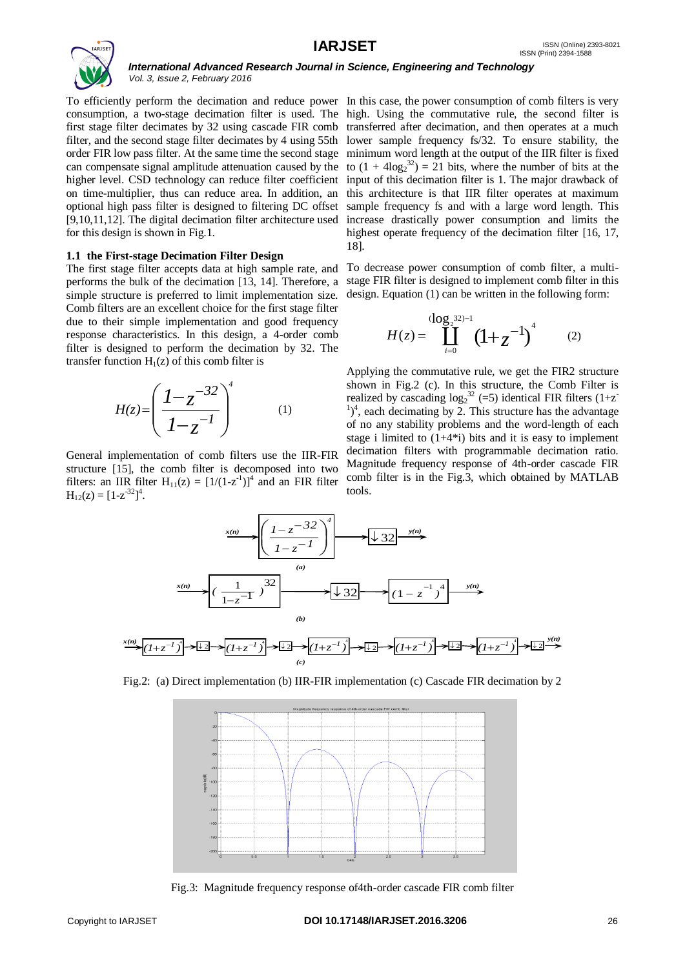

To efficiently perform the decimation and reduce power In this case, the power consumption of comb filters is very consumption, a two-stage decimation filter is used. The high. Using the commutative rule, the second filter is first stage filter decimates by 32 using cascade FIR comb transferred after decimation, and then operates at a much filter, and the second stage filter decimates by 4 using 55th lower sample frequency fs/32. To ensure stability, the order FIR low pass filter. At the same time the second stage minimum word length at the output of the IIR filter is fixed can compensate signal amplitude attenuation caused by the to  $(1 + 4\log_2^{32}) = 21$  bits, where the number of bits at the higher level. CSD technology can reduce filter coefficient input of this decimation filter is 1. The major drawback of on time-multiplier, thus can reduce area. In addition, an this architecture is that IIR filter operates at maximum optional high pass filter is designed to filtering DC offset [9,10,11,12]. The digital decimation filter architecture used increase drastically power consumption and limits the for this design is shown in Fig.1.

#### **1.1 the First-stage Decimation Filter Design**

The first stage filter accepts data at high sample rate, and performs the bulk of the decimation [13, 14]. Therefore, a simple structure is preferred to limit implementation size. Comb filters are an excellent choice for the first stage filter due to their simple implementation and good frequency response characteristics. In this design, a 4-order comb filter is designed to perform the decimation by 32. The transfer function  $H_1(z)$  of this comb filter is

$$
H(z) = \left(\frac{I - z^{-32}}{I - z^{-1}}\right)^4 \tag{1}
$$

General implementation of comb filters use the IIR-FIR structure [15], the comb filter is decomposed into two filters: an IIR filter  $H_{11}(z) = [1/(1-z^{-1})]^4$  and an FIR filter  $H_{12}(z) = [1-z^{-32}]^4$ . se the IIR-3<br>  $\frac{3}{2}$  osed into<br>  $\frac{1-z^{-32}}{1-z^{-1}}$ 

sample frequency fs and with a large word length. This highest operate frequency of the decimation filter [16, 17, 18].

To decrease power consumption of comb filter, a multistage FIR filter is designed to implement comb filter in this design. Equation (1) can be written in the following form:

$$
H(z) = \coprod_{i=0}^{(\log_2 32)-1} (1+z^{-1})^4 \qquad (2)
$$

Applying the commutative rule, we get the FIR2 structure shown in Fig.2 (c). In this structure, the Comb Filter is realized by cascading  $log_2^{32}$  (=5) identical FIR filters (1+z<sup>-</sup>  $1)^4$ , each decimating by 2. This structure has the advantage of no any stability problems and the word-length of each stage i limited to  $(1+4*)$  bits and it is easy to implement decimation filters with programmable decimation ratio. Magnitude frequency response of 4th-order cascade FIR comb filter is in the Fig.3, which obtained by MATLAB tools.



Fig.2: (a) Direct implementation (b) IIR-FIR implementation (c) Cascade FIR decimation by 2



Fig.3: Magnitude frequency response of4th-order cascade FIR comb filter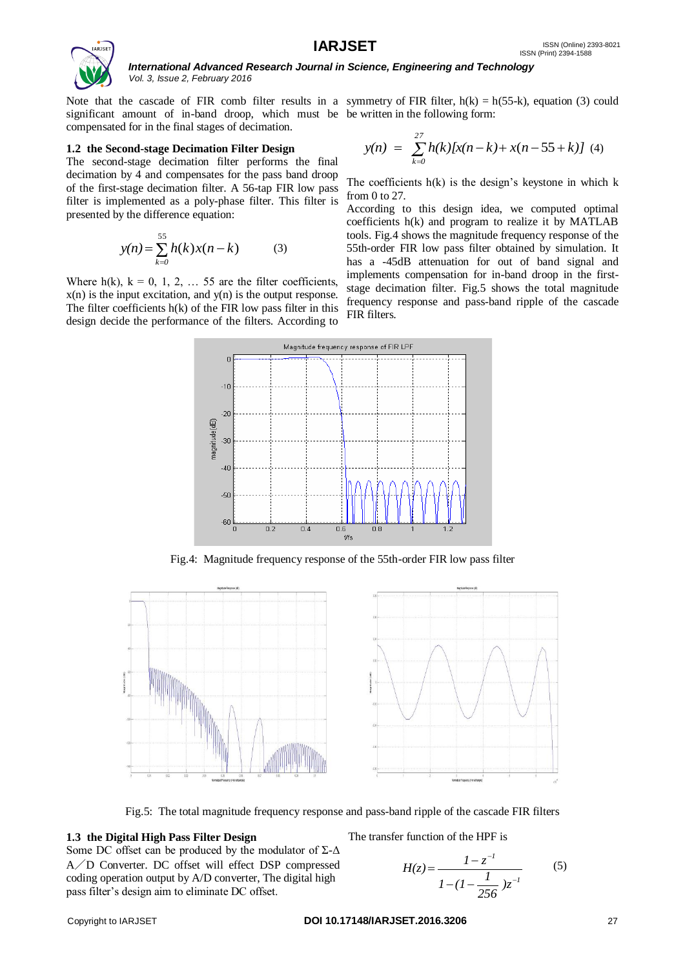

significant amount of in-band droop, which must be be written in the following form: compensated for in the final stages of decimation.

#### **1.2 the Second-stage Decimation Filter Design**

The second-stage decimation filter performs the final decimation by 4 and compensates for the pass band droop of the first-stage decimation filter. A 56-tap FIR low pass filter is implemented as a poly-phase filter. This filter is presented by the difference equation:

$$
y(n) = \sum_{k=0}^{55} h(k)x(n-k)
$$
 (3)

Where  $h(k)$ ,  $k = 0, 1, 2, \ldots 55$  are the filter coefficients,  $x(n)$  is the input excitation, and  $y(n)$  is the output response. The filter coefficients  $h(k)$  of the FIR low pass filter in this design decide the performance of the filters. According to

Note that the cascade of FIR comb filter results in a symmetry of FIR filter,  $h(k) = h(55-k)$ , equation (3) could

$$
y(n) = \sum_{k=0}^{27} h(k)[x(n-k) + x(n-55+k)] \quad (4)
$$

The coefficients  $h(k)$  is the design's keystone in which  $k$ from 0 to 27.

According to this design idea, we computed optimal coefficients h(k) and program to realize it by MATLAB tools. Fig.4 shows the magnitude frequency response of the 55th-order FIR low pass filter obtained by simulation. It has a -45dB attenuation for out of band signal and implements compensation for in-band droop in the firststage decimation filter. Fig.5 shows the total magnitude frequency response and pass-band ripple of the cascade FIR filters.



Fig.4: Magnitude frequency response of the 55th-order FIR low pass filter



Fig.5: The total magnitude frequency response and pass-band ripple of the cascade FIR filters

#### **1.3 the Digital High Pass Filter Design**

Some DC offset can be produced by the modulator of  $\Sigma$ - $\Delta$ A/D Converter. DC offset will effect DSP compressed coding operation output by A/D converter, The digital high pass filter's design aim to eliminate DC offset.

The transfer function of the HPF is

$$
H(z) = \frac{1 - z^{-l}}{1 - (1 - \frac{l}{256})z^{-l}}
$$
 (5)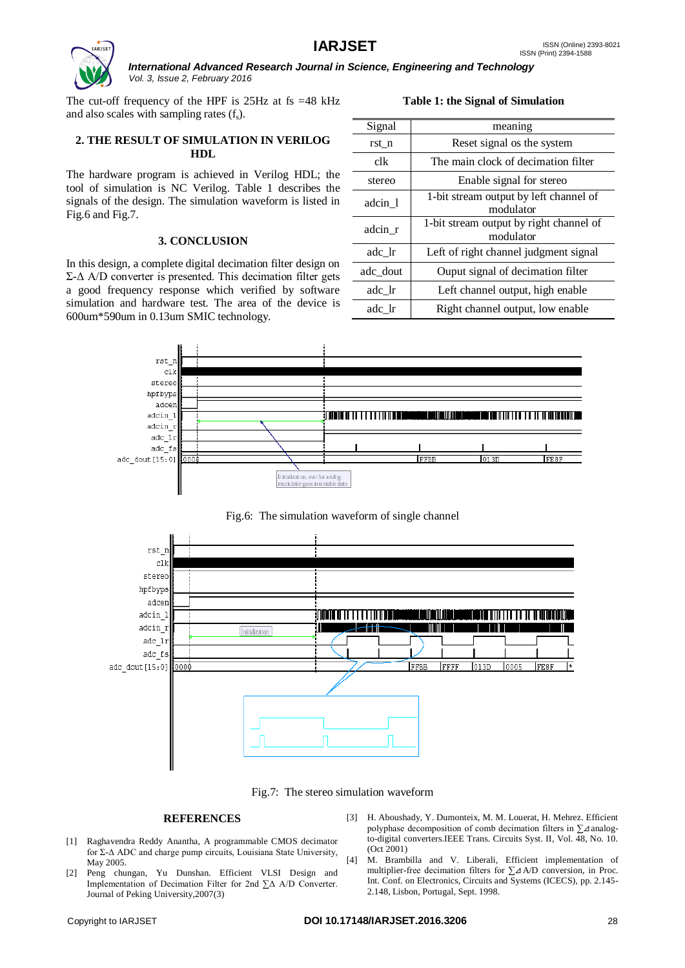

The cut-off frequency of the HPF is  $25\text{Hz}$  at fs =48 kHz and also scales with sampling rates  $(f_s)$ .

## **2. THE RESULT OF SIMULATION IN VERILOG HDL**

The hardware program is achieved in Verilog HDL; the tool of simulation is NC Verilog. Table 1 describes the signals of the design. The simulation waveform is listed in Fig.6 and Fig.7.

#### **3. CONCLUSION**

In this design, a complete digital decimation filter design on  $Σ$ -Δ A/D converter is presented. This decimation filter gets a good frequency response which verified by software simulation and hardware test. The area of the device is 600um\*590um in 0.13um SMIC technology.

| Signal   | meaning                                              |
|----------|------------------------------------------------------|
| rst n    | Reset signal os the system                           |
| clk      | The main clock of decimation filter                  |
| stereo   | Enable signal for stereo                             |
| adcin 1  | 1-bit stream output by left channel of<br>modulator  |
| adcin r  | 1-bit stream output by right channel of<br>modulator |
| adc lr   | Left of right channel judgment signal                |
| adc dout | Ouput signal of decimation filter                    |
| adc lr   | Left channel output, high enable                     |
| adc lr   | Right channel output, low enable                     |

**Table 1: the Signal of Simulation**



Fig.6: The simulation waveform of single channel



Fig.7: The stereo simulation waveform

#### **REFERENCES**

- [1] Raghavendra Reddy Anantha, A programmable CMOS decimator for Σ-Δ ADC and charge pump circuits, Louisiana State University, May 2005.
- [2] Peng chungan, Yu Dunshan. Efficient VLSI Design and Implementation of Decimation Filter for 2nd ∑Δ A/D Converter. Journal of Peking University,2007(3)
- [3] H. Aboushady, Y. Dumonteix, M. M. Louerat, H. Mehrez. Efficient polyphase decomposition of comb decimation filters in ∑⊿analogto-digital converters.IEEE Trans. Circuits Syst. II, Vol. 48, No. 10. (Oct 2001)
- [4] M. Brambilla and V. Liberali, Efficient implementation of multiplier-free decimation filters for ∑⊿A/D conversion, in Proc. Int. Conf. on Electronics, Circuits and Systems (ICECS), pp. 2.145- 2.148, Lisbon, Portugal, Sept. 1998.